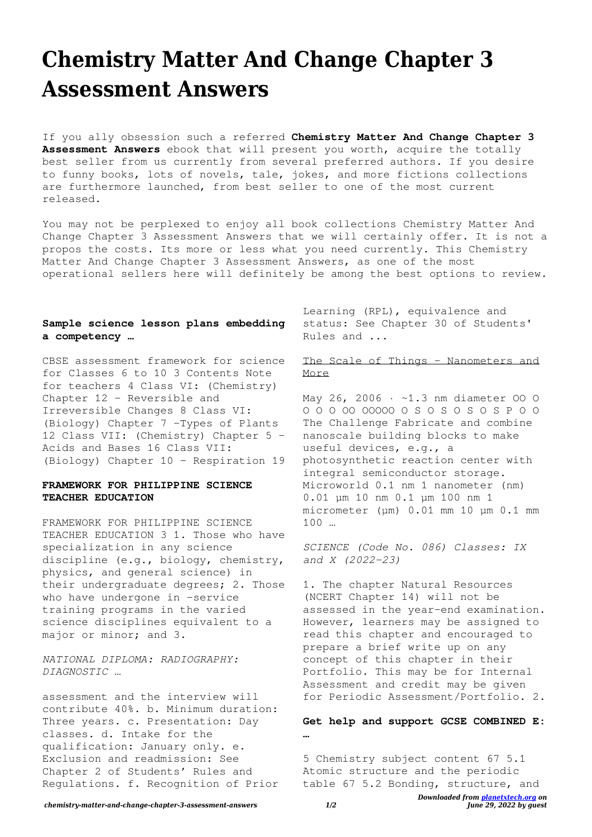# **Chemistry Matter And Change Chapter 3 Assessment Answers**

If you ally obsession such a referred **Chemistry Matter And Change Chapter 3 Assessment Answers** ebook that will present you worth, acquire the totally best seller from us currently from several preferred authors. If you desire to funny books, lots of novels, tale, jokes, and more fictions collections are furthermore launched, from best seller to one of the most current released.

You may not be perplexed to enjoy all book collections Chemistry Matter And Change Chapter 3 Assessment Answers that we will certainly offer. It is not a propos the costs. Its more or less what you need currently. This Chemistry Matter And Change Chapter 3 Assessment Answers, as one of the most operational sellers here will definitely be among the best options to review.

### **Sample science lesson plans embedding a competency …**

CBSE assessment framework for science for Classes 6 to 10 3 Contents Note for teachers 4 Class VI: (Chemistry) Chapter 12 – Reversible and Irreversible Changes 8 Class VI: (Biology) Chapter 7 –Types of Plants 12 Class VII: (Chemistry) Chapter 5 – Acids and Bases 16 Class VII: (Biology) Chapter 10 – Respiration 19

## **FRAMEWORK FOR PHILIPPINE SCIENCE TEACHER EDUCATION**

FRAMEWORK FOR PHILIPPINE SCIENCE TEACHER EDUCATION 3 1. Those who have specialization in any science discipline (e.g., biology, chemistry, physics, and general science) in their undergraduate degrees; 2. Those who have undergone in -service training programs in the varied science disciplines equivalent to a major or minor; and 3.

*NATIONAL DIPLOMA: RADIOGRAPHY: DIAGNOSTIC …*

assessment and the interview will contribute 40%. b. Minimum duration: Three years. c. Presentation: Day classes. d. Intake for the qualification: January only. e. Exclusion and readmission: See Chapter 2 of Students' Rules and Regulations. f. Recognition of Prior Learning (RPL), equivalence and status: See Chapter 30 of Students' Rules and ...

# The Scale of Things – Nanometers and More

May 26, 2006 · ~1.3 nm diameter 00 0 O O O OO OOOOO O S O S O S O S P O O The Challenge Fabricate and combine nanoscale building blocks to make useful devices, e.g., a photosynthetic reaction center with integral semiconductor storage. Microworld 0.1 nm 1 nanometer (nm) 0.01 μm 10 nm 0.1 μm 100 nm 1 micrometer (μm) 0.01 mm 10 μm 0.1 mm 100 …

*SCIENCE (Code No. 086) Classes: IX and X (2022-23)*

1. The chapter Natural Resources (NCERT Chapter 14) will not be assessed in the year-end examination. However, learners may be assigned to read this chapter and encouraged to prepare a brief write up on any concept of this chapter in their Portfolio. This may be for Internal Assessment and credit may be given for Periodic Assessment/Portfolio. 2.

**Get help and support GCSE COMBINED E: …**

5 Chemistry subject content 67 5.1 Atomic structure and the periodic table 67 5.2 Bonding, structure, and